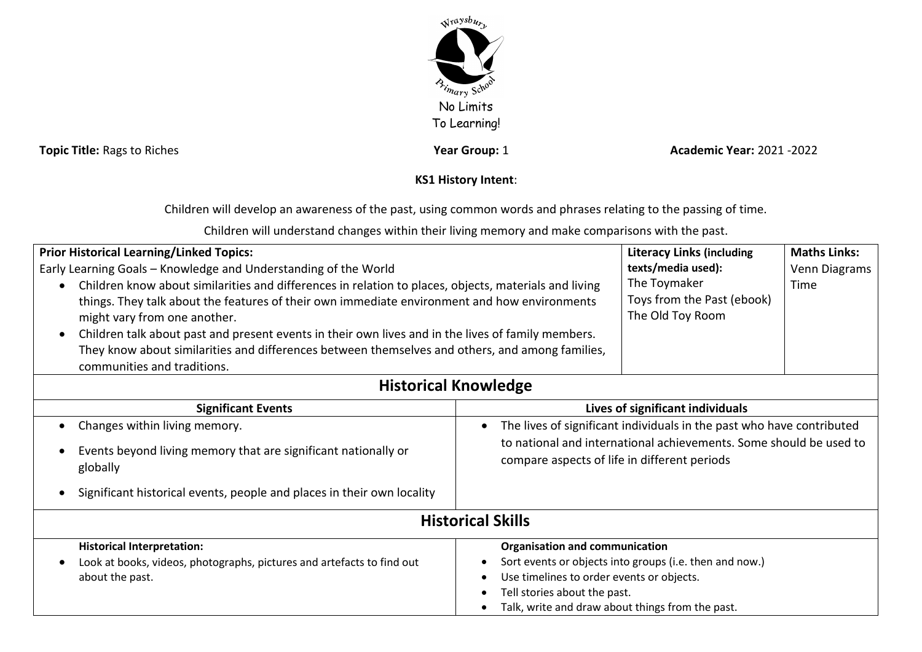

**Topic Title:** Rags to Riches *Topic Title:* Rags to Riches *Pear Pear* **Year Group:** 1 **Academic Year:** 2021 -2022

## **KS1 History Intent**:

Children will develop an awareness of the past, using common words and phrases relating to the passing of time.

Children will understand changes within their living memory and make comparisons with the past.

| <b>Prior Historical Learning/Linked Topics:</b>                                                                                                                                                                                      |                                                                                                                                                                                             | <b>Literacy Links (including</b>                               | <b>Maths Links:</b> |  |
|--------------------------------------------------------------------------------------------------------------------------------------------------------------------------------------------------------------------------------------|---------------------------------------------------------------------------------------------------------------------------------------------------------------------------------------------|----------------------------------------------------------------|---------------------|--|
| Early Learning Goals - Knowledge and Understanding of the World                                                                                                                                                                      |                                                                                                                                                                                             | texts/media used):                                             | Venn Diagrams       |  |
| Children know about similarities and differences in relation to places, objects, materials and living<br>things. They talk about the features of their own immediate environment and how environments                                |                                                                                                                                                                                             | The Toymaker<br>Toys from the Past (ebook)<br>The Old Toy Room | Time                |  |
| might vary from one another.                                                                                                                                                                                                         |                                                                                                                                                                                             |                                                                |                     |  |
| Children talk about past and present events in their own lives and in the lives of family members.<br>They know about similarities and differences between themselves and others, and among families,<br>communities and traditions. |                                                                                                                                                                                             |                                                                |                     |  |
| <b>Historical Knowledge</b>                                                                                                                                                                                                          |                                                                                                                                                                                             |                                                                |                     |  |
| <b>Significant Events</b>                                                                                                                                                                                                            | Lives of significant individuals                                                                                                                                                            |                                                                |                     |  |
| Changes within living memory.                                                                                                                                                                                                        | The lives of significant individuals in the past who have contributed<br>to national and international achievements. Some should be used to<br>compare aspects of life in different periods |                                                                |                     |  |
| Events beyond living memory that are significant nationally or<br>globally                                                                                                                                                           |                                                                                                                                                                                             |                                                                |                     |  |
| Significant historical events, people and places in their own locality                                                                                                                                                               |                                                                                                                                                                                             |                                                                |                     |  |
| <b>Historical Skills</b>                                                                                                                                                                                                             |                                                                                                                                                                                             |                                                                |                     |  |
| <b>Historical Interpretation:</b>                                                                                                                                                                                                    | <b>Organisation and communication</b>                                                                                                                                                       |                                                                |                     |  |
| Look at books, videos, photographs, pictures and artefacts to find out                                                                                                                                                               | Sort events or objects into groups (i.e. then and now.)<br>Use timelines to order events or objects.                                                                                        |                                                                |                     |  |
| about the past.                                                                                                                                                                                                                      |                                                                                                                                                                                             |                                                                |                     |  |
| Tell stories about the past.                                                                                                                                                                                                         |                                                                                                                                                                                             |                                                                |                     |  |
|                                                                                                                                                                                                                                      |                                                                                                                                                                                             | Talk, write and draw about things from the past.               |                     |  |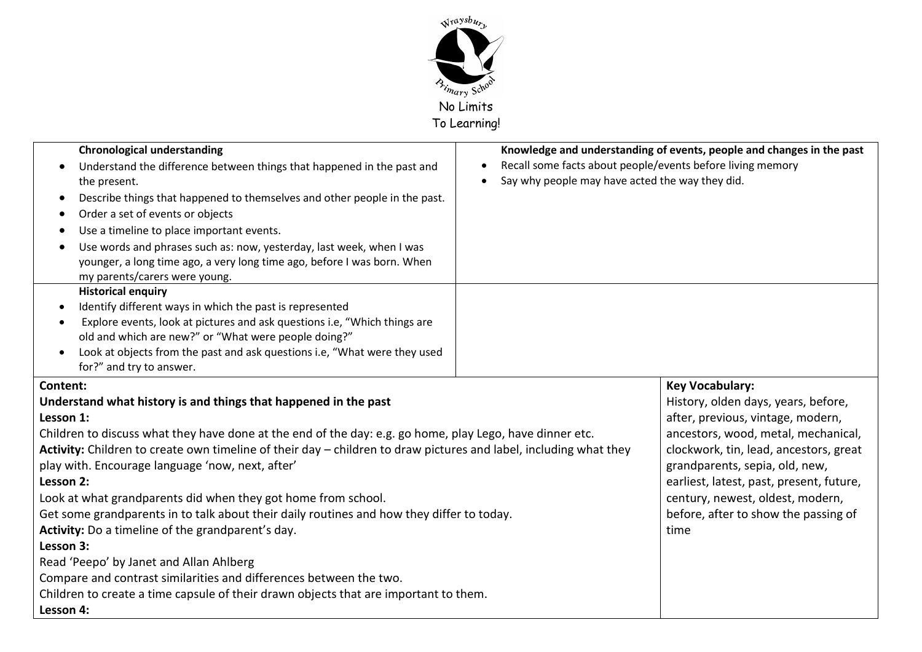

| <b>Chronological understanding</b><br>Understand the difference between things that happened in the past and<br>the present.<br>Describe things that happened to themselves and other people in the past.<br>Order a set of events or objects<br>Use a timeline to place important events.<br>Use words and phrases such as: now, yesterday, last week, when I was<br>younger, a long time ago, a very long time ago, before I was born. When<br>my parents/carers were young.                                                                                                                                                                                                                                                                                                                                                                   | Recall some facts about people/events before living memory<br>Say why people may have acted the way they did. | Knowledge and understanding of events, people and changes in the past                                                                                                                                                                                                                                                                                 |
|--------------------------------------------------------------------------------------------------------------------------------------------------------------------------------------------------------------------------------------------------------------------------------------------------------------------------------------------------------------------------------------------------------------------------------------------------------------------------------------------------------------------------------------------------------------------------------------------------------------------------------------------------------------------------------------------------------------------------------------------------------------------------------------------------------------------------------------------------|---------------------------------------------------------------------------------------------------------------|-------------------------------------------------------------------------------------------------------------------------------------------------------------------------------------------------------------------------------------------------------------------------------------------------------------------------------------------------------|
| <b>Historical enquiry</b><br>Identify different ways in which the past is represented<br>Explore events, look at pictures and ask questions i.e, "Which things are<br>old and which are new?" or "What were people doing?"<br>Look at objects from the past and ask questions i.e, "What were they used<br>for?" and try to answer.                                                                                                                                                                                                                                                                                                                                                                                                                                                                                                              |                                                                                                               |                                                                                                                                                                                                                                                                                                                                                       |
| Content:<br>Understand what history is and things that happened in the past<br>Lesson 1:<br>Children to discuss what they have done at the end of the day: e.g. go home, play Lego, have dinner etc.<br>Activity: Children to create own timeline of their day – children to draw pictures and label, including what they<br>play with. Encourage language 'now, next, after'<br>Lesson 2:<br>Look at what grandparents did when they got home from school.<br>Get some grandparents in to talk about their daily routines and how they differ to today.<br>Activity: Do a timeline of the grandparent's day.<br>Lesson 3:<br>Read 'Peepo' by Janet and Allan Ahlberg<br>Compare and contrast similarities and differences between the two.<br>Children to create a time capsule of their drawn objects that are important to them.<br>Lesson 4: |                                                                                                               | <b>Key Vocabulary:</b><br>History, olden days, years, before,<br>after, previous, vintage, modern,<br>ancestors, wood, metal, mechanical,<br>clockwork, tin, lead, ancestors, great<br>grandparents, sepia, old, new,<br>earliest, latest, past, present, future,<br>century, newest, oldest, modern,<br>before, after to show the passing of<br>time |